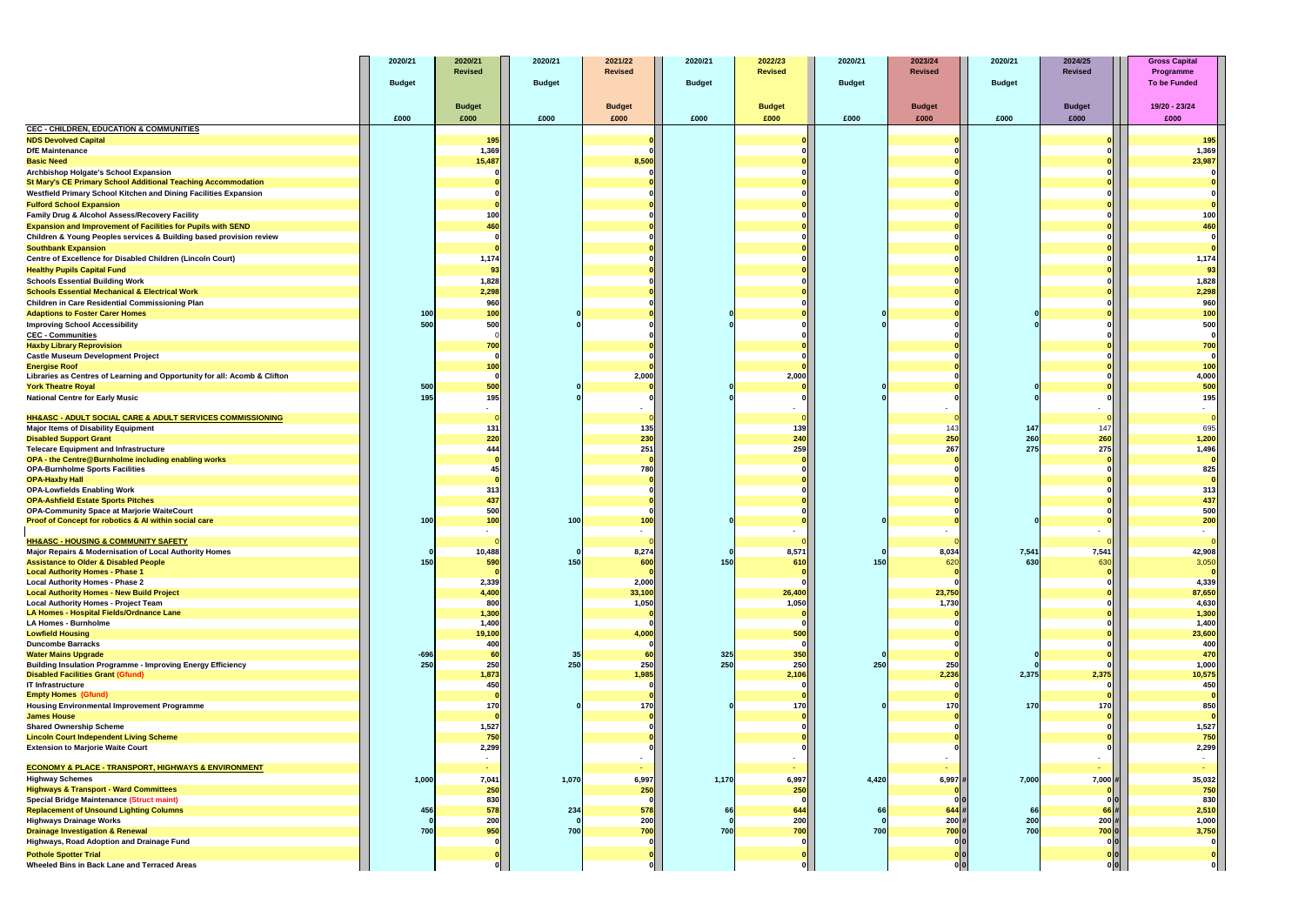|                                                                                                                       | 2020/21       | 2020/21         | 2020/21       | 2021/22         | 2020/21       | 2022/23             | 2020/21       | 2023/24        | 2020/21       | 2024/25                                        | <b>Gross Capital</b>             |
|-----------------------------------------------------------------------------------------------------------------------|---------------|-----------------|---------------|-----------------|---------------|---------------------|---------------|----------------|---------------|------------------------------------------------|----------------------------------|
|                                                                                                                       | <b>Budget</b> | <b>Revised</b>  | <b>Budget</b> | <b>Revised</b>  | <b>Budget</b> | <b>Revised</b>      | <b>Budget</b> | <b>Revised</b> | <b>Budget</b> | <b>Revised</b>                                 | Programme<br><b>To be Funded</b> |
|                                                                                                                       |               |                 |               |                 |               |                     |               |                |               |                                                |                                  |
|                                                                                                                       |               | <b>Budget</b>   |               | <b>Budget</b>   |               | <b>Budget</b>       |               | <b>Budget</b>  |               | <b>Budget</b>                                  | 19/20 - 23/24                    |
|                                                                                                                       | £000          | £000            | £000          | £000            | £000          | £000                | £000          | £000           | £000          | £000                                           | £000                             |
| <b>CEC - CHILDREN, EDUCATION &amp; COMMUNITIES</b>                                                                    |               |                 |               |                 |               |                     |               |                |               |                                                |                                  |
| <b>NDS Devolved Capital</b><br><b>DfE Maintenance</b>                                                                 |               | 195<br>1,369    |               |                 |               |                     |               |                |               |                                                | 195<br>1,369                     |
| <b>Basic Need</b>                                                                                                     |               | 15,487          |               | 8,500           |               |                     |               |                |               |                                                | 23,987                           |
| <b>Archbishop Holgate's School Expansion</b>                                                                          |               |                 |               |                 |               |                     |               |                |               |                                                |                                  |
| <b>St Mary's CE Primary School Additional Teaching Accommodation</b>                                                  |               |                 |               |                 |               |                     |               |                |               |                                                |                                  |
| Westfield Primary School Kitchen and Dining Facilities Expansion                                                      |               |                 |               |                 |               |                     |               |                |               |                                                |                                  |
| <b>Fulford School Expansion</b>                                                                                       |               |                 |               |                 |               |                     |               |                |               |                                                |                                  |
| Family Drug & Alcohol Assess/Recovery Facility<br><b>Expansion and Improvement of Facilities for Pupils with SEND</b> |               | 100<br>460      |               |                 |               |                     |               |                |               |                                                | 100<br>460                       |
| Children & Young Peoples services & Building based provision review                                                   |               |                 |               |                 |               |                     |               |                |               |                                                |                                  |
| <b>Southbank Expansion</b>                                                                                            |               |                 |               |                 |               |                     |               |                |               |                                                |                                  |
| Centre of Excellence for Disabled Children (Lincoln Court)                                                            |               | 1,174           |               |                 |               |                     |               |                |               |                                                | 1,174                            |
| <b>Healthy Pupils Capital Fund</b>                                                                                    |               | 93              |               |                 |               |                     |               |                |               |                                                | 93                               |
| <b>Schools Essential Building Work</b>                                                                                |               | 1,828           |               |                 |               |                     |               |                |               |                                                | 1,828                            |
| <b>Schools Essential Mechanical &amp; Electrical Work</b>                                                             |               | 2,298           |               |                 |               |                     |               |                |               |                                                | 2,298<br>960                     |
| Children in Care Residential Commissioning Plan<br><b>Adaptions to Foster Carer Homes</b>                             | 100           | 960<br>100      |               |                 |               |                     |               |                |               |                                                | 100                              |
| <b>Improving School Accessibility</b>                                                                                 | 500           | 500             |               |                 |               |                     |               |                |               |                                                | 500                              |
| <b>CEC - Communities</b>                                                                                              |               |                 |               |                 |               |                     |               |                |               |                                                |                                  |
| <b>Haxby Library Reprovision</b>                                                                                      |               | 700             |               |                 |               |                     |               |                |               |                                                | 700                              |
| <b>Castle Museum Development Project</b>                                                                              |               |                 |               |                 |               |                     |               |                |               |                                                |                                  |
| <b>Energise Roof</b><br>Libraries as Centres of Learning and Opportunity for all: Acomb & Clifton                     |               | 100             |               | 2,000           |               | 2,000               |               |                |               |                                                | 100                              |
| <b>York Theatre Royal</b>                                                                                             | 500           | 500             |               |                 |               |                     |               |                |               |                                                | $4,000$<br>$500$                 |
| <b>National Centre for Early Music</b>                                                                                | 195           | 195             |               |                 |               |                     |               |                |               |                                                | 195                              |
|                                                                                                                       |               | $\sim$          |               |                 |               |                     |               |                |               |                                                |                                  |
| HH&ASC - ADULT SOCIAL CARE & ADULT SERVICES COMMISSIONING<br><b>Major Items of Disability Equipment</b>               |               | $131$           |               | 135             |               | 139                 |               | 143            | 147           | 147                                            | 695                              |
| <b>Disabled Support Grant</b>                                                                                         |               | 220             |               | 230             |               | 240                 |               | 250            | 260           | 260                                            | 1,200                            |
| <b>Telecare Equipment and Infrastructure</b>                                                                          |               | 444             |               | 251             |               | 259                 |               | 267            | 275           | 275                                            | 1,496                            |
| OPA - the Centre@Burnholme including enabling works                                                                   |               |                 |               |                 |               |                     |               |                |               |                                                |                                  |
| <b>OPA-Burnholme Sports Facilities</b><br><b>OPA-Haxby Hall</b>                                                       |               |                 |               | 780             |               |                     |               |                |               |                                                | 825                              |
| <b>OPA-Lowfields Enabling Work</b>                                                                                    |               | 313             |               |                 |               |                     |               |                |               |                                                | 313                              |
| <b>OPA-Ashfield Estate Sports Pitches</b>                                                                             |               | 437             |               |                 |               |                     |               |                |               |                                                | 437                              |
| <b>OPA-Community Space at Marjorie WaiteCourt</b>                                                                     |               | 500             |               |                 |               |                     |               |                |               |                                                | 500                              |
| Proof of Concept for robotics & AI within social care                                                                 | 100           | 100             | 100           | 100             |               |                     |               |                |               |                                                | 200                              |
| <b>HH&amp;ASC - HOUSING &amp; COMMUNITY SAFETY</b>                                                                    |               | $\sim$          |               | $\sim$          |               | $\sim$              |               |                |               |                                                |                                  |
| Major Repairs & Modernisation of Local Authority Homes                                                                |               | 10,488          |               | 8,274           |               | 8,571               |               | 8,034          | 7,541         | 7,541                                          | 42,908                           |
| <b>Assistance to Older &amp; Disabled People</b>                                                                      | 150           | 590             | 150           | 600             | 150           | 610                 | 150           | 620            | 630           | 630                                            | 3,050                            |
| <b>Local Authority Homes - Phase 1</b>                                                                                |               |                 |               |                 |               |                     |               |                |               |                                                |                                  |
| <b>Local Authority Homes - Phase 2</b><br><b>Local Authority Homes - New Build Project</b>                            |               | 2,339<br>4,400  |               | 2,000<br>33,100 |               | 26,400              |               | 23,750         |               |                                                | 4,339<br>87,650                  |
| <b>Local Authority Homes - Project Team</b>                                                                           |               | 800             |               | 1,050           |               | 1,050               |               | 1,730          |               |                                                | 4,630                            |
| LA Homes - Hospital Fields/Ordnance Lane                                                                              |               | 1,300           |               |                 |               |                     |               |                |               |                                                | 1,300                            |
| <b>LA Homes - Burnholme</b>                                                                                           |               | 1,400           |               |                 |               |                     |               |                |               |                                                | 1,400                            |
| <b>Lowfield Housing</b><br><b>Duncombe Barracks</b>                                                                   |               | 19,100<br>400   |               | 4,000           |               | 500<br>$\mathbf{0}$ |               |                |               |                                                | 23,600<br>400                    |
| <b>Water Mains Upgrade</b>                                                                                            | $-696$        | 60              |               | 60              | 325           | 350                 |               |                |               |                                                | 470                              |
| <b>Building Insulation Programme - Improving Energy Efficiency</b>                                                    | 250           | 250             | 250           | 250             | 250           | 250                 | 250           | 250            |               |                                                | 1,000                            |
| <b>Disabled Facilities Grant (Gfund)</b>                                                                              |               | 1,873           |               | 1,985           |               | 2,106               |               | 2,236          | 2,375         | 2,375                                          | 10,575                           |
| <b>IT Infrastructure</b><br><b>Empty Homes (Gfund)</b>                                                                |               | 450             |               |                 |               |                     |               |                |               |                                                | 450                              |
| <b>Housing Environmental Improvement Programme</b>                                                                    |               | 170             |               | 170             |               | 170                 |               | 170            | 170           | 170                                            | 850                              |
| <b>James House</b>                                                                                                    |               |                 |               |                 |               |                     |               |                |               |                                                |                                  |
| <b>Shared Ownership Scheme</b>                                                                                        |               | 1,527           |               |                 |               |                     |               |                |               |                                                | 1,527                            |
| <b>Lincoln Court Independent Living Scheme</b><br><b>Extension to Marjorie Waite Court</b>                            |               | 750<br>2,299    |               |                 |               |                     |               |                |               |                                                | 750<br>2,299                     |
|                                                                                                                       |               |                 |               |                 |               |                     |               |                |               |                                                |                                  |
| <b>ECONOMY &amp; PLACE - TRANSPORT, HIGHWAYS &amp; ENVIRONMENT</b>                                                    |               | <b>Contract</b> |               | $\sim$          |               | $\sim$              |               |                |               |                                                |                                  |
| <b>Highway Schemes</b>                                                                                                | 1,000         | 7,041           | 1,070         | 6,997           | 1,170         | 6,997               | 4,420         | 6,997          | 7,000         | $7,000$ #                                      | 35,032                           |
| <b>Highways &amp; Transport - Ward Committees</b>                                                                     |               | 250             |               | 250             |               | 250                 |               |                |               |                                                | 750                              |
| <b>Special Bridge Maintenance (Struct maint)</b><br><b>Replacement of Unsound Lighting Columns</b>                    | 456           | 830<br>578      | 234           | 578             | 66            | ി<br>644            |               | $644$ #        | 66            | 66 I                                           | 830<br>2,510                     |
| <b>Highways Drainage Works</b>                                                                                        |               | 200             |               | 200             |               | 200                 |               | $200$ #        | 200           | $200$ #                                        | 1,000                            |
| <b>Drainage Investigation &amp; Renewal</b>                                                                           | 700           | 950             | 700           | 700             | 700           | 700                 | 700           | 7000           | 700           | 7000                                           | 3,750                            |
| Highways, Road Adoption and Drainage Fund                                                                             |               |                 |               |                 |               |                     |               |                |               |                                                |                                  |
| <b>Pothole Spotter Trial</b>                                                                                          |               |                 |               |                 |               |                     |               |                |               | $\begin{bmatrix} 0 & 0 \\ 0 & 0 \end{bmatrix}$ |                                  |
| Wheeled Bins in Back Lane and Terraced Areas                                                                          |               |                 |               | 0               |               | _o∥                 |               | 0              |               |                                                |                                  |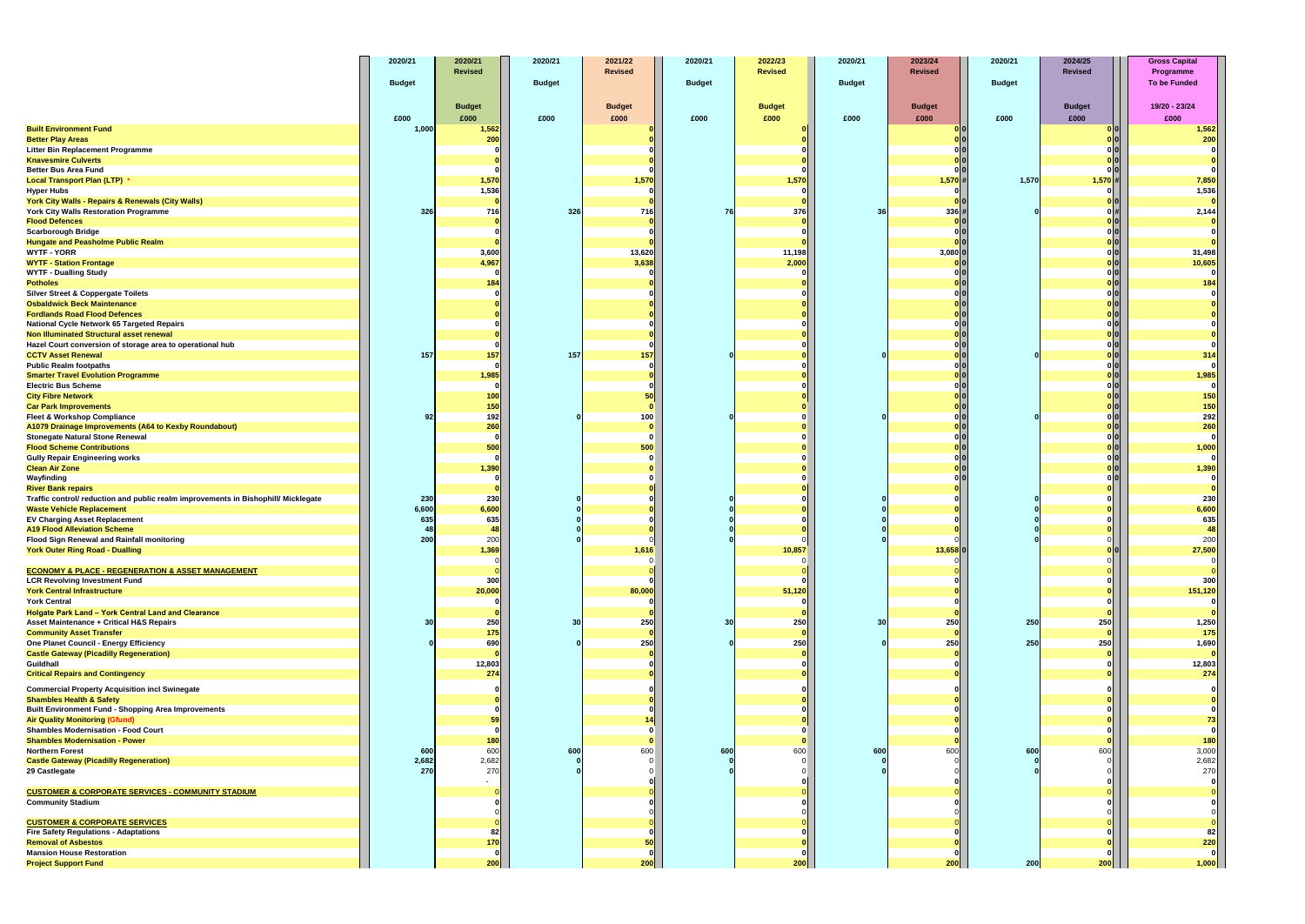|                                                                                                          | 2020/21         | 2020/21<br><b>Revised</b> | 2020/21       | 2021/22<br><b>Revised</b> | 2020/21       | 2022/23<br><b>Revised</b> | 2020/21         | 2023/24<br><b>Revised</b> | 2020/21       | 2024/25<br><b>Revised</b>                   | <b>Gross Capital</b>      |
|----------------------------------------------------------------------------------------------------------|-----------------|---------------------------|---------------|---------------------------|---------------|---------------------------|-----------------|---------------------------|---------------|---------------------------------------------|---------------------------|
|                                                                                                          | <b>Budget</b>   |                           | <b>Budget</b> |                           | <b>Budget</b> |                           | <b>Budget</b>   |                           | <b>Budget</b> |                                             | Programme<br>To be Funded |
|                                                                                                          |                 |                           |               |                           |               |                           |                 |                           |               |                                             |                           |
|                                                                                                          |                 | <b>Budget</b>             |               | <b>Budget</b>             |               | <b>Budget</b>             |                 | <b>Budget</b>             |               | <b>Budget</b>                               | 19/20 - 23/24             |
| <b>Built Environment Fund</b>                                                                            | £000<br>1,000   | £000<br>1,562             | £000          | £000                      | £000          | £000                      | £000            | £000<br>olol              | £000          | £000<br> 0                                  | £000<br>1,562             |
| <b>Better Play Areas</b>                                                                                 |                 | 200                       |               |                           |               |                           |                 |                           |               |                                             | 200                       |
| Litter Bin Replacement Programme                                                                         |                 |                           |               |                           |               |                           |                 |                           |               |                                             |                           |
| <b>Knavesmire Culverts</b>                                                                               |                 |                           |               |                           |               |                           |                 |                           |               |                                             |                           |
| <b>Better Bus Area Fund</b><br><b>Local Transport Plan (LTP) *</b>                                       |                 | 1,570                     |               | 1,570                     |               | 1,570                     |                 | 1,570#                    | 1,570         | 1,570                                       |                           |
| <b>Hyper Hubs</b>                                                                                        |                 | 1,536                     |               |                           |               |                           |                 |                           |               |                                             | 7,850<br>1,536            |
| York City Walls - Repairs & Renewals (City Walls)                                                        |                 |                           |               |                           |               |                           |                 |                           |               |                                             |                           |
| York City Walls Restoration Programme                                                                    | 326             | 716                       | 326           | 716                       | 76            | 376                       | 36              | $336 \mid #$              |               |                                             | 2,144                     |
| <b>Flood Defences</b>                                                                                    |                 |                           |               |                           |               |                           |                 | 0 0                       |               | o                                           |                           |
| <b>Scarborough Bridge</b><br><b>Hungate and Peasholme Public Realm</b>                                   |                 |                           |               |                           |               |                           |                 |                           |               |                                             |                           |
| <b>WYTF - YORR</b>                                                                                       |                 | 3,600                     |               | 13,620                    |               | 11,198                    |                 | 3,080 0                   |               | $\begin{bmatrix} 0 \\ 0 \\ 0 \end{bmatrix}$ | 31,498                    |
| <b>WYTF - Station Frontage</b>                                                                           |                 | 4,967                     |               | 3,638                     |               | 2,000                     |                 |                           |               |                                             | 10,605                    |
| <b>WYTF - Dualling Study</b>                                                                             |                 |                           |               |                           |               |                           |                 |                           |               | 0                                           |                           |
| <b>Potholes</b><br><b>Silver Street &amp; Coppergate Toilets</b>                                         |                 | 184                       |               |                           |               |                           |                 |                           |               | 0                                           | 184                       |
| <b>Osbaldwick Beck Maintenance</b>                                                                       |                 |                           |               |                           |               |                           |                 |                           |               | $\begin{bmatrix} 0 \\ 0 \\ 0 \end{bmatrix}$ |                           |
| <b>Fordlands Road Flood Defences</b>                                                                     |                 |                           |               |                           |               |                           |                 |                           |               |                                             |                           |
| National Cycle Network 65 Targeted Repairs                                                               |                 |                           |               |                           |               |                           |                 |                           |               | $\begin{bmatrix} 0 \\ 0 \\ 0 \end{bmatrix}$ |                           |
| <b>Non Illuminated Structural asset renewal</b>                                                          |                 |                           |               |                           |               |                           |                 |                           |               | 0                                           |                           |
| Hazel Court conversion of storage area to operational hub<br><b>CCTV Asset Renewal</b>                   | 157             | 157                       | 157           | 157                       |               |                           |                 |                           |               | 0                                           | 314                       |
| <b>Public Realm footpaths</b>                                                                            |                 |                           |               |                           |               |                           |                 |                           |               | $\begin{bmatrix} 0 \\ 0 \\ 0 \end{bmatrix}$ |                           |
| <b>Smarter Travel Evolution Programme</b>                                                                |                 | 1,985                     |               |                           |               |                           |                 |                           |               |                                             | 1,985                     |
| <b>Electric Bus Scheme</b>                                                                               |                 |                           |               |                           |               |                           |                 |                           |               | olol                                        |                           |
| <b>City Fibre Network</b>                                                                                |                 | 100                       |               |                           |               |                           |                 |                           |               |                                             | 150                       |
| <b>Car Park Improvements</b><br><b>Fleet &amp; Workshop Compliance</b>                                   | -92             | 150<br>192                |               | 100                       |               |                           |                 |                           |               | $\begin{bmatrix} 0 \\ 0 \\ 0 \end{bmatrix}$ | 150<br>292                |
| A1079 Drainage Improvements (A64 to Kexby Roundabout)                                                    |                 | 260                       |               |                           |               |                           |                 |                           |               |                                             | 260                       |
| <b>Stonegate Natural Stone Renewal</b>                                                                   |                 |                           |               |                           |               |                           |                 |                           |               | 0 0                                         |                           |
| <b>Flood Scheme Contributions</b>                                                                        |                 | 500                       |               | 500                       |               |                           |                 |                           |               |                                             | 1,000                     |
| <b>Gully Repair Engineering works</b>                                                                    |                 |                           |               |                           |               |                           |                 |                           |               | 이이<br>o o                                   |                           |
| <b>Clean Air Zone</b><br>Wayfinding                                                                      |                 | 1,390                     |               |                           |               |                           |                 |                           |               | 0 0                                         | 1,390                     |
| <b>River Bank repairs</b>                                                                                |                 |                           |               |                           |               |                           |                 |                           |               |                                             |                           |
| Traffic control/ reduction and public realm improvements in Bishophill/ Micklegate                       | 230             | 230                       |               |                           |               |                           |                 |                           |               |                                             | 230                       |
| <b>Waste Vehicle Replacement</b>                                                                         | 6,600           | 6,600                     |               |                           |               |                           |                 |                           |               |                                             | 6,600                     |
| <b>EV Charging Asset Replacement</b><br><b>A19 Flood Alleviation Scheme</b>                              | 635<br><b>A</b> | 635<br>48                 |               |                           |               |                           |                 |                           |               |                                             | 635<br>48                 |
| Flood Sign Renewal and Rainfall monitoring                                                               | 200             | 200                       |               |                           |               |                           |                 |                           |               |                                             | 200                       |
| <b>York Outer Ring Road - Dualling</b>                                                                   |                 | 1,369                     |               | 1,616                     |               | 10,857                    |                 | 13,658 0                  |               |                                             | 27,500                    |
|                                                                                                          |                 |                           |               |                           |               |                           |                 |                           |               |                                             |                           |
| <b>ECONOMY &amp; PLACE - REGENERATION &amp; ASSET MANAGEMENT</b><br><b>LCR Revolving Investment Fund</b> |                 | 300                       |               |                           |               |                           |                 |                           |               |                                             | 300                       |
| <b>York Central Infrastructure</b>                                                                       |                 | 20,000                    |               | 80,000                    |               | 51,120                    |                 |                           |               |                                             | 151,120                   |
| <b>York Central</b>                                                                                      |                 |                           |               |                           |               |                           |                 |                           |               |                                             |                           |
| Holgate Park Land - York Central Land and Clearance                                                      |                 |                           |               |                           |               |                           |                 |                           |               |                                             |                           |
| <b>Asset Maintenance + Critical H&amp;S Repairs</b>                                                      | 30              | 250                       | 30            | 250                       | 30            | 250                       | 30 <sup>l</sup> | 250                       | 250           | 250                                         | 1,250                     |
| <b>Community Asset Transfer</b><br><b>One Planet Council - Energy Efficiency</b>                         |                 | 175<br>690                |               | 250                       |               | - Ol<br>250               |                 | 250                       | 250           | 250                                         | 175<br>1,690              |
| <b>Castle Gateway (Picadilly Regeneration)</b>                                                           |                 |                           |               |                           |               |                           |                 |                           |               |                                             |                           |
| Guildhall                                                                                                |                 | 12,803                    |               |                           |               |                           |                 |                           |               |                                             | 12,803                    |
| <b>Critical Repairs and Contingency</b>                                                                  |                 | 274                       |               |                           |               |                           |                 |                           |               |                                             | 274                       |
| <b>Commercial Property Acquisition incl Swinegate</b>                                                    |                 |                           |               |                           |               |                           |                 |                           |               |                                             |                           |
| <b>Shambles Health &amp; Safety</b>                                                                      |                 |                           |               |                           |               |                           |                 |                           |               |                                             |                           |
| <b>Built Environment Fund - Shopping Area Improvements</b><br><b>Air Quality Monitoring (Gfund)</b>      |                 |                           |               |                           |               |                           |                 |                           |               |                                             |                           |
| <b>Shambles Modernisation - Food Court</b>                                                               |                 |                           |               |                           |               |                           |                 |                           |               |                                             |                           |
| <b>Shambles Modernisation - Power</b>                                                                    |                 | 180                       |               |                           |               |                           |                 |                           |               |                                             |                           |
| <b>Northern Forest</b>                                                                                   | 600             | 600                       | 600           | 600                       | 600           | 600                       | 600             | 600                       | 600           | 600                                         | 3,000                     |
| <b>Castle Gateway (Picadilly Regeneration)</b>                                                           | 2,682           | 2,682                     |               |                           |               |                           |                 |                           |               |                                             | 2,682                     |
| 29 Castlegate                                                                                            | 270             | 270                       |               |                           |               |                           |                 |                           |               |                                             | 270                       |
| <b>CUSTOMER &amp; CORPORATE SERVICES - COMMUNITY STADIUM</b>                                             |                 |                           |               |                           |               |                           |                 |                           |               |                                             |                           |
| <b>Community Stadium</b>                                                                                 |                 |                           |               |                           |               |                           |                 |                           |               |                                             |                           |
|                                                                                                          |                 |                           |               |                           |               |                           |                 |                           |               |                                             |                           |
| <b>CUSTOMER &amp; CORPORATE SERVICES</b><br><b>Fire Safety Regulations - Adaptations</b>                 |                 | 82                        |               |                           |               |                           |                 |                           |               |                                             |                           |
| <b>Removal of Asbestos</b>                                                                               |                 | 170                       |               |                           |               |                           |                 |                           |               |                                             | 220                       |
| <b>Mansion House Restoration</b>                                                                         |                 |                           |               |                           |               |                           |                 |                           |               |                                             |                           |
| <b>Project Support Fund</b>                                                                              |                 | 200                       |               | 200                       |               | 200                       |                 | 200                       | 200           | 200                                         | 1,000                     |